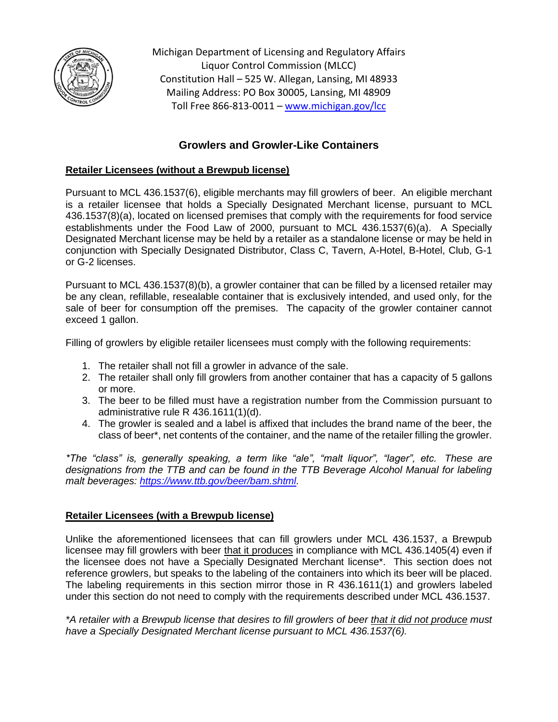

Michigan Department of Licensing and Regulatory Affairs Liquor Control Commission (MLCC) Constitution Hall – 525 W. Allegan, Lansing, MI 48933 Mailing Address: PO Box 30005, Lansing, MI 48909 Toll Free 866-813-0011 – [www.michigan.gov/lcc](http://www.michigan.gov/lcc)

# **Growlers and Growler-Like Containers**

# **Retailer Licensees (without a Brewpub license)**

Pursuant to MCL 436.1537(6), eligible merchants may fill growlers of beer. An eligible merchant is a retailer licensee that holds a Specially Designated Merchant license, pursuant to MCL 436.1537(8)(a), located on licensed premises that comply with the requirements for food service establishments under the Food Law of 2000, pursuant to MCL 436.1537(6)(a). A Specially Designated Merchant license may be held by a retailer as a standalone license or may be held in conjunction with Specially Designated Distributor, Class C, Tavern, A-Hotel, B-Hotel, Club, G-1 or G-2 licenses.

Pursuant to MCL 436.1537(8)(b), a growler container that can be filled by a licensed retailer may be any clean, refillable, resealable container that is exclusively intended, and used only, for the sale of beer for consumption off the premises. The capacity of the growler container cannot exceed 1 gallon.

Filling of growlers by eligible retailer licensees must comply with the following requirements:

- 1. The retailer shall not fill a growler in advance of the sale.
- 2. The retailer shall only fill growlers from another container that has a capacity of 5 gallons or more.
- 3. The beer to be filled must have a registration number from the Commission pursuant to administrative rule R 436.1611(1)(d).
- 4. The growler is sealed and a label is affixed that includes the brand name of the beer, the class of beer\*, net contents of the container, and the name of the retailer filling the growler.

*\*The "class" is, generally speaking, a term like "ale", "malt liquor", "lager", etc. These are designations from the TTB and can be found in the TTB Beverage Alcohol Manual for labeling malt beverages: [https://www.ttb.gov/beer/bam.shtml.](https://www.ttb.gov/beer/bam.shtml)*

## **Retailer Licensees (with a Brewpub license)**

Unlike the aforementioned licensees that can fill growlers under MCL 436.1537, a Brewpub licensee may fill growlers with beer that it produces in compliance with MCL 436.1405(4) even if the licensee does not have a Specially Designated Merchant license\*. This section does not reference growlers, but speaks to the labeling of the containers into which its beer will be placed. The labeling requirements in this section mirror those in R 436.1611(1) and growlers labeled under this section do not need to comply with the requirements described under MCL 436.1537.

*\*A retailer with a Brewpub license that desires to fill growlers of beer that it did not produce must have a Specially Designated Merchant license pursuant to MCL 436.1537(6).*